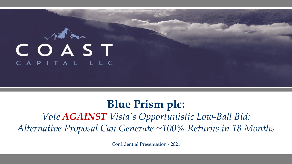

# **Blue Prism plc:** *Vote AGAINST Vista's Opportunistic Low-Ball Bid; Alternative Proposal Can Generate ~100% Returns in 18 Months*

Confidential Presentation - 2021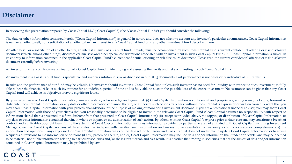#### **Disclaimer**

In reviewing this presentation prepared by Coast Capital LLC ("Coast Capital ") (the "Coast Capital Funds") you should consider the following:

The data or other information contained herein ("Coast Capital Information") is general in nature and does not take into account any investor's particular circumstances. Coast Capital information is neither an offer to sell, nor a solicitation of an offer to buy, an interest in any Coast Capital fund or in any other investment fund described therein.

An offer to sell or a solicitation of an offer to buy, an interest in any Coast Capital fund, if made, must be accompanied by such Coast Capital fund's current confidential offering or risk disclosure document (which, among other things, discusses certain risks and other special considerations associated with an investment in such Coast Capital Fund). All Coast Capital Information is subject in its entirety to information contained in the applicable Coast Capital Fund's current confidential offering or risk disclosure document. Please read the current confidential offering or risk disclosure document carefully before investing.

An investor must rely on its own examination of a Coast Capital Fund in identifying and assessing the merits and risks of investing in such Coast Capital Fund.

An investment in a Coast Capital fund is speculative and involves substantial risk as disclosed in our DDQ documents. Past performance is not necessarily indicative of future results.

Results and the performance of our fund may be volatile. No investors should invest in a Coast Capital fund unless such investor has no need for liquidity with respect to such investment, is fully able to bear the financial risks of such investment for an indefinite period of time and is fully able to sustain the possible loss of the entire investment. No assurance can be given that any Coast Capital fund will achieve its objectives or avoid significant losses.

By your acceptance of Coast Capital information, you understand, acknowledge and agree that: (i) Coast Capital Information is confidential and proprietary, and you may not copy, transmit or distribute Coast Capital Information, or any data or other information contained therein, or authorize such actions by others, without Coast Capital 's express prior written consent, except that you may share Coast Capital Information with your professional advisors for the purpose of making or monitoring investment decisions. If you are a professional financial adviser, you may share Coast Capital Information with those of your clients that you reasonably determine to be eligible to invest in the relevant Coast Capital Fund (Coast Capital assumes no responsibility with respect to information shared that is presented in a form different from that presented in Coast Capital Information); (ii) except as provided above, the copying or distribution of Coast Capital Information, or any data or other information contained therein, in whole or in part, or the authorization of such actions by others, without Coast Capital's express prior written consent, may constitute a breach of contract and applicable copyright laws; (iii) to the extent that Coast Capital Information includes information provided by parties who are not affiliated with Coast Capital , including Investment Managers, neither Coast Capital nor any of its affiliates has independently verified such information and makes no representation or warranty as to its accuracy or completeness; (iv) the information and opinions (if any) expressed in Coast Capital Information are as of the date set forth therein, and Coast Capital does not undertake to update Coast Capital Information or to advise recipients of revisions to the information or opinions (if any) presented therein; and (v) Coast Capital Information may include data and/or information that, under applicable law, may be deemed to be material, nonpublic information relating to particular securities and/or the issuers thereof, and as a result, it is possible that trading in securities that are the subject of data and/or information contained in Coast Capital Information may be prohibited by law.

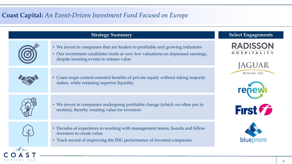## **Coast Capital:** *An Event-Driven Investment Fund Focused on Europe*

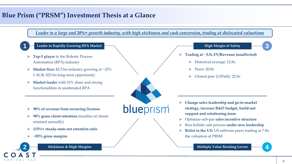## **Blue Prism ("PRSM") Investment Thesis at a Glance**

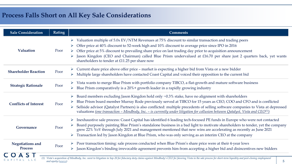## **Process Falls Short on All Key Sale Considerations**

| <b>Sale Consideration</b>                 | <b>Rating</b>       | <b>Comments</b>                                                                                                                                                                                                                                                                                                                                                                                                                                                                                                                                                 |  |  |  |
|-------------------------------------------|---------------------|-----------------------------------------------------------------------------------------------------------------------------------------------------------------------------------------------------------------------------------------------------------------------------------------------------------------------------------------------------------------------------------------------------------------------------------------------------------------------------------------------------------------------------------------------------------------|--|--|--|
| Valuation                                 | Poor                | Valuation multiple of 5.0x EV/NTM Revenues at 75% discount to similar transaction and trading peers<br>Offer price at 40% discount to 52-week high and 10% discount to average price since IPO in 2016<br>Offer price at 5% discount to prevailing share price on last trading day prior to acquisition announcement<br>Jason Kingdon (CEO and Chairman) called Blue Prism undervalued at £16.70 per share just 2 quarters back, yet wants<br>shareholders to tender at £11.25 per share now                                                                    |  |  |  |
| <b>Shareholder Reaction</b>               | Poor                | Current share price above offer price - market is expecting a higher bid from Vista or a new bidder<br>Multiple large shareholders have contacted Coast Capital and voiced their opposition to the current bid<br>$\blacktriangleright$                                                                                                                                                                                                                                                                                                                         |  |  |  |
| <b>Strategic Rationale</b>                | Poor                | Vista wants to merge Blue Prism with portfolio company TIBCO, a flat-growth and mature software business<br>Blue Prism comparatively is a 20%+ growth leader in a rapidly growing industry                                                                                                                                                                                                                                                                                                                                                                      |  |  |  |
| <b>Conflicts of Interest</b>              | Poor                | Board members excluding Jason Kingdon hold only ~0.3% stake, have no alignment with shareholders<br>$\blacktriangleright$<br>Blue Prism board member Murray Rode previously served at TIBCO for 15 years as CEO, COO and CFO and is conflicted<br>Sellside advisor (Qatalyst Partners) is also conflicted: multiple precedents of selling software companies to Vista at depressed<br>$\blacktriangleright$<br>valuations <u>(one transaction – Mindbody, Inc. – is currently under litigation for collusion between Qatalyst, Vista and CEO<sup>(1)</sup>)</u> |  |  |  |
| Governance                                | Poor                | Inexhaustive sale process: Coast Capital has identified 6 leading tech-focused PE funds in Europe who were not contacted<br>$\blacktriangleright$<br>Board purposely painting Blue Prism's standalone business in a bad light to motivate shareholders to tender, yet the company<br>grew 22% YoY through July 2021 and management mentioned that new wins are accelerating as recently as June 2021<br>Transaction led by Jason Kingdon at Blue Prism, who was only serving as an interim CEO at the company                                                   |  |  |  |
| <b>Negotiations and</b><br><b>Process</b> | Poor                | Poor transaction timing: sale process conducted when Blue Prism's share price were at their 4-year lows<br>Jason Kingdon's binding irrevocable agreement prevents him from accepting a higher bid and disincentives new bidders                                                                                                                                                                                                                                                                                                                                 |  |  |  |
| LLC<br>CAPITAL                            | and equity (source) | (1) Vista's acquisition of Mindbody, Inc. went to litigation in Sep-20 for fiduciary duty claims against Mindbody's CEO for favoring Vista in the sale process for short-term liquidity and post-closing employment<br>$5\phantom{.0}$                                                                                                                                                                                                                                                                                                                          |  |  |  |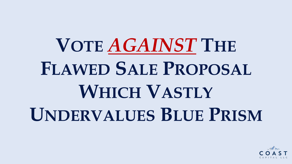# **VOTE** *AGAINST* **THE FLAWED SALE PROPOSAL WHICH VASTLY UNDERVALUES BLUE PRISM**

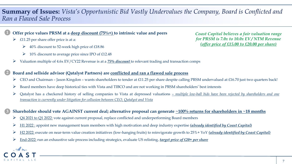## **Summary of Issues:** *Vista's Opportunistic Bid Vastly Undervalues the Company, Board is Conflicted and Ran a Flawed Sale Process*



**2**

**3**

#### **Offer price values PRSM at a deep discount (75%+) to intrinsic value and peers 1**

- $\triangleright$  £11.25 per share offer price is at a:
	- $\geq 40\%$  discount to 52-week high price of £18.86
	- $\geq 10\%$  discount to average price since IPO of £12.48
- ➢ Valuation multiple of 4.6x EV/CY22 Revenue is at a *75% discount* to relevant trading and transaction comps

#### **Board and sellside advisor (Qatalyst Partners) are conflicted and ran a flawed sale process**

- $\triangleright$  CEO and Chairman Jason Kingdon wants shareholders to tender at £11.25 per share despite calling PRSM undervalued at £16.70 just two quarters back!
- $\triangleright$  Board members have deep historical ties with Vista and TIBCO and are not working in PRSM shareholders' best interests
- > Qatalyst has a checkered history of selling companies to Vista at depressed valuations multiple low-ball bids have been rejected by shareholders and one *transaction is currently under litigation for collusion between CEO, Qatalyst and Vista*

#### Shareholder should vote AGAINST current deal; alternative proposal can generate  $\sim$ 100% returns for shareholders in  $\sim$ 18 months

- $\triangleright$  Q4 2021 to Q1 2022: vote against current proposal, replace conflicted and underperforming Board members
- ➢ H1 2022 : appoint new management team members with high motivation and deep industry expertise *(already identified by Coast Capital)*
- ➢ H2 2022: execute on near-term value creation initiatives (low-hanging fruits) to reinvigorate growth to 25%+ YoY *(already identified by Coast Capital)*
- ➢ End-2022: run an exhaustive sale process including strategics, evaluate US relisting, *target price of £20+ per share*

*Coast Capital believes a fair valuation range for PRSM is 7.0x to 10.0x EV / NTM Revenue (offer price of £15.00 to £20.00 per share)*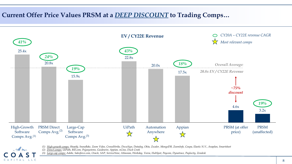## **Current Offer Price Values PRSM at a** *DEEP DISCOUNT* **to Trading Comps…**



*(1) High-growth comps: Shopify, Snowflake, Zoom Video, CrowdStrike, DocuSign, Datadog, Okta, Zscaler, MongoDB, ZoomInfo, Coupa, Elastic N.V., Anaplan, Smartsheet*

*(2) Direct comps: UiPath, Bill.com, Pegasystems, Guidewire, Appian, nCino, Duck Creek*

CAPITAL LLC

*(3) Large-cap comps: Adobe, Salesforce.com, Oracle, SAP, ServiceNow, Atlassian, Workday, Veeva, HubSpot, Paycom, Dynatrace, Paylocity, Zendesk*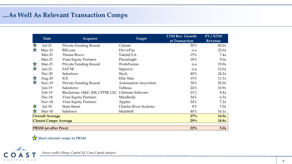## **…As Well As Relevant Transaction Comps**

|                                        |                                     |                                                    |                              | <b>LTM Rev. Growth</b> | EV/NTM  |
|----------------------------------------|-------------------------------------|----------------------------------------------------|------------------------------|------------------------|---------|
|                                        | Date                                | Acquirer                                           | <b>Target</b>                | at Transaction         | Revenue |
| 文                                      | $Jul-21$                            | Private Funding Round                              | Celonis                      | 50%                    | 40.0x   |
| 文                                      | $May-21$                            | Bill.com                                           | DivvyPay                     | n.a.                   | 25.0x   |
|                                        | $Mar-21$                            | Thoma Bravo                                        | Talend S.A.                  | 15%                    | 7.4x    |
|                                        | $Mar-21$                            | <b>Vista Equity Partners</b>                       | Pluralsight                  | 18%                    | 9.0x    |
| 文                                      | $Mar-21$                            | Private Funding Round                              | WorkFusion                   | n.a.                   | 19.0x   |
| ☆                                      | Jan- $21$                           | <b>SAPSE</b>                                       | Signavio                     | n.a.                   | 12.0x   |
|                                        | $Dec-20$                            | Salesforce                                         | <b>Slack</b>                 | 40%                    | 24.2x   |
| 文文                                     | Aug- $20$                           | ICE                                                | <b>Ellie Mae</b>             | 15%                    | 11.1x   |
|                                        | $Nov-19$                            | Private Funding Round                              | <b>Automation Anywhere</b>   | 30%                    | 20.0x   |
|                                        | $Jun-19$                            | Salesforce                                         | Tableau                      | 24%                    | 10.9x   |
|                                        | Feb-19                              | Blackstone, H&F, JMI, CPPIB, GIC Ultimate Software |                              | 21%                    | 8.4x    |
|                                        | Dec-18                              | <b>Vista Equity Partners</b>                       | Mindbody                     | 34%                    | 6.5x    |
|                                        | $Nov-18$                            | <b>Vista Equity Partners</b>                       | Apptio                       | 24%                    | 7.2x    |
| <b>水</b>                               | $Jul-18$                            | <b>State Street</b>                                | <b>Charles River Systems</b> | 8%                     | 7.0x    |
| 文                                      | Mar-18                              | Saleforce                                          | MuleSoft                     | 40%                    | 16.1x   |
| <b>Overall Average</b>                 |                                     |                                                    |                              | 27%                    | 14.9x   |
|                                        | <b>Closest Comps Average</b><br>29% |                                                    |                              |                        |         |
| $22\%$<br><b>PRSM</b> (at offer Price) |                                     |                                                    |                              |                        | 5.0x    |

*Most relevant comps to PRSM*



*Source: public filings, Capital IQ, Coast Capital analysis*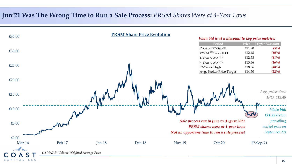### **Jun'21 Was The Wrong Time to Run a Sale Process:** *PRSM Shares Were at 4-Year Lows*

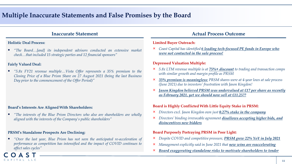### **Multiple Inaccurate Statements and False Promises by the Board**

#### **Holistic Deal Process:**

▪ *"The Board…[and] its independent advisors conducted an extensive market check…that included 15 strategic parties and 12 financial sponsors"*

#### **Fairly Valued Deal:**

A S

CAPITAL LLC

▪ *"5.8x FY21 revenue multiple…Vista Offer represents a 35% premium to the Closing Price of a Blue Prism Share on 27 August 2021 (being the last Business Day prior to the commencement of the Offer Period)"*

#### **Board's Interests Are Aligned With Shareholders:**

▪ *"The interests of the Blue Prism Directors who also are shareholders are wholly aligned with the interests of the Company's public shareholders"*

#### **PRSM's Standalone Prospects Are Declining:**

▪ *"Over the last year, Blue Prism has not seen the anticipated re-acceleration of performance as competition has intensified and the impact of COVID continues to affect sales cycles"*

#### **Inaccurate Statement Actual Process Outcome**

#### **Limited Buyer Outreach:**

× *Coast Capital has identified 6 leading tech-focused PE funds in Europe who were not contacted in the sale process!*

#### **Depressed Valuation Multiple:**

- × *5.8x LTM revenue multiple is at 75%+ discount to trading and transaction comps with similar growth and margin profile as PRSM*
- × *35% premium is meaningless: PRSM shares were at 4-year lows at sale process (June 2021) due to investors' frustration with Jason Kingdon!*
- *Jason Kingdon believed PRSM was undervalued at £17 per share as recently as February 2021, yet we should now sell at £11.25??*

#### **Board is Highly Conflicted With Little Equity Stake in PRSM:**

- × *Directors excl. Jason Kingdon own just 0.27% stake in the company*
- × *Directors' binding irrevocable agreement disallows accepting higher bids, and disincentives new bidders*

#### **Board Purposely Portraying PRSM in Poor Light:**

- × *Despite COVID and competitive pressure, PRSM grew 22% YoY in July 2021*
- × *Management explicitly said in June 2021 that new wins are reaccelerating*
- × *Board exaggerating standalone risks to motivate shareholders to tender*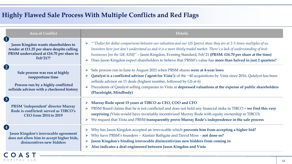## **Highly Flawed Sale Process With Multiple Conflicts and Red Flags**

CAPITAL LLC

| <b>Area of Conflict</b>                                                                                                                                     | <b>Details</b>                                                                                                                                                                                                                                                                                                                                                                                                                                                               |  |  |  |
|-------------------------------------------------------------------------------------------------------------------------------------------------------------|------------------------------------------------------------------------------------------------------------------------------------------------------------------------------------------------------------------------------------------------------------------------------------------------------------------------------------------------------------------------------------------------------------------------------------------------------------------------------|--|--|--|
| $\blacksquare$<br>Jason Kingdon wants shareholders to<br>tender at £11.25 per share despite calling<br>PRSM undervalued at £16.70 per share in<br>Feb'21??  | ""Dollar for dollar comparisons between our valuation and our US [peers] show they are at 2-5 times multiples of us.<br>Investors here just don't understand us and it is a more thinly traded market. There's a lack of understanding of tech<br>businesses [on the UK AIM]" - Jason Kingdon, Evening Standard, Feb'21 (PRSM: £16.70 per share at the time)<br>Does Jason Kingdon expect shareholders to believe that PRSM's value has more than halved in just 2 quarters? |  |  |  |
| $\left( 2 \right)$<br>Sale process was run at highly<br>inopportune time<br>Process run by a highly conflicted<br>sellside advisor with a checkered history | Sale process run in June to August 2021 when PRSM shares were at 4-year lows<br><b>Qatalyst is a conflicted advisor ('agent for Vista'):</b> of the ~40 acquisitions by Vista since 2016, Qatalyst has been<br>➤<br>sellside advisor on 11 deals (highest number, followed by GS at 6)<br>Precedents of Qatalyst selling companies to Vista at depressed valuations at the expense of public shareholders<br>(Pluralsight, Mindbody)                                         |  |  |  |
| $\left( 3 \right)$<br><b>PRSM</b> 'independent' director Murray<br>Rode is conflicted: served as TIBCO's<br><b>CEO from 2014 to 2019</b>                    | Murray Rode spent 15 years at TIBCO as CEO, COO and CFO<br>➤<br>PRSM Board claims that he is not conflicted and does not hold any financial stake in TIBCO - we find this very<br>surprising (Vista would have invariably incentivized Murray Rode with equity ownership in TIBCO)<br>We request that Vista and PRSM transparently prove Murray Rode's independence in the sale process                                                                                      |  |  |  |
| $\left( 4\right)$<br>Jason Kingdon's irrevocable agreement<br>does not allow him to accept higher bids,<br>disincentives new bidders                        | Why has Jason Kingdon accepted an irrevocable which prevents him from accepting a higher bid?<br>➤<br>Why have PRSM's founders - Alastair Bathgate and David Moss - not done so?<br>$\blacktriangleright$<br>Jason Kingdon's binding irrevocable disincentivizes new bidders from coming in<br>$\blacktriangleright$<br>Also indicates a deal engineered between Jason Kingdon and Vista<br>$\blacktriangleright$                                                            |  |  |  |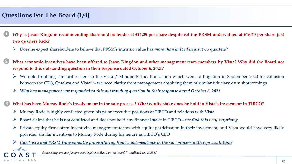## **Questions For The Board (1/4)**

15 Dans

CAPITAL LLC

- Why is Jason Kingdon recommending shareholders tender at £11.25 per share despite calling PRSM undervalued at £16.70 per share just **two quarters back? 1**
	- ➢ Does he expect shareholders to believe that PRSM's intrinsic value has *more than halved* in just two quarters?
- What economic incentives have been offered to Jason Kingdon and other management team members by Vista? Why did the Board not **respond to this outstanding question in their response dated October 6, 2021? 2**
	- $\triangleright$  We note troubling similarities here to the Vista / Mindbody Inc. transaction which went to litigation in September 2020 for collusion between the CEO, Qatalyst and Vista<sup>(1)</sup> - we need clarity from management absolving them of similar fiduciary duty shortcomings
	- ➢ *Why has management not responded to this outstanding question in their response dated October 6, 2021*

#### What has been Murray Rode's involvement in the sale process? What equity stake does he hold in Vista's investment in TIBCO? **3**

- $\triangleright$  Murray Rode is highly conflicted given his prior executive positions at TIBCO and relations with Vista
- ➢ Board claims that he is not conflicted and does not hold any financial stake in TIBCO *– we find this very surprising*
- $\triangleright$  Private equity firms often incentivize management teams with equity participation in their investment, and Vista would have very likely provided similar incentives to Murray Rode during his tenure as TIBCO's CEO
- ➢ *Can Vista and PRSM transparently prove Murray Rode's independence in the sale process with representation?*

*Source: https://www.jdsupra.com/legalnews/fraud-on-the-board-ii-conflicted-ceo-20558/*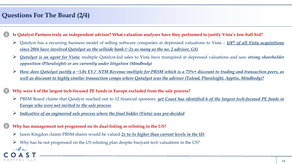## **Questions For The Board (2/4)**

**6**

1 pour

CAPITAL LLC

- Is Qatalyst Partners truly an independent advisor? What valuation analyses have they performed to justify Vista's low-ball bid? **4**
	- ➢ Qatalyst has a recurring business model of selling software companies at depressed valuations to Vista *– 1/4 th of all Vista acquisitions since 2016 have involved Qatalyst as the sellside bank (~2x as many as the no. 2 advisor, GS)*
	- ➢ *Qatalyst is an agent for Vista:* multiple Qatalyst-led sales to Vista have transpired at depressed valuations and saw *strong shareholder opposition (Pluralsight) or are currently under litigation (Mindbody)*
	- $\triangleright$  How does Qatalyst justify a ~5.0x EV/ NTM Revenue multiple for PRSM which is a 75%+ discount to trading and transaction peers, as well as discount to highly similar transaction comps where Qatalyst was the advisor (Talend, Pluralsight, Apptio, Mindbody)?

#### **Why were 6 of the largest tech-focused PE funds in Europe excluded from the sale process? 5**

- ➢ PRSM Board claims that Qatalyst reached out to 12 financial sponsors, *yet Coast has identified 6 of the largest tech-focused PE funds in Europe who were not invited to the sale process*
- ➢ *Indicative of an engineered sale process where the final bidder (Vista) was pre-decided*

#### **Why has management not progressed on its dual-listing or relisting in the US?**

- ➢ Jason Kingdon claims PRSM shares would be valued *2x to 5x higher than current levels in the US*
- $\triangleright$  Why has he not progressed on the US relisting plan despite buoyant tech valuations in the US?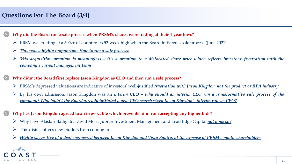## **Questions For The Board (3/4)**

#### **Why did the Board run a sale process when PRSM's shares were trading at their 4-year lows? 7**

- $\triangleright$  PRSM was trading at a 50% + discount to its 52-week high when the Board initiated a sale process (June 2021)
- ➢ *This was a highly inopportune time to run a sale process!*
- $\triangleright$  35% acquisition premium is meaningless it's a premium to a dislocated share price which reflects investors' frustration with the *company's current management team*

**Why didn't the Board first replace Jason Kingdon as CEO and then run a sale process?**

- ➢ PRSM's depressed valuations are indicative of investors' well-justified *frustration with Jason Kingdon, not the product or RPA industry*
- $\triangleright$  By his own admission, Jason Kingdon was an *interim CEO why should an interim CEO run a transformative sale process of the* company? Why hadn't the Board already initiated a new CEO search given Jason Kingdon's interim role as CEO?

#### **Why has Jason Kingdon agreed to an irrevocable which prevents him from accepting any higher bids?**

- ➢ Why have Alastair Bathgate, David Moss, Jupiter Investment Management and Lead Edge Capital *not done so?*
- $\triangleright$  This disincentives new bidders from coming in
- > Highly suggestive of a deal engineered between Jason Kingdon and Vista Equity, at the expense of PRSM's public shareholders



**8**

**9**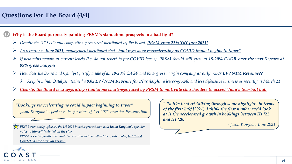## **Questions For The Board (4/4)**

#### **Why is the Board purposely painting PRSM's standalone prospects in a bad light? 10**

- ➢ *Despite the 'COVID and competitive pressures' mentioned by the Board, PRSM grew 22% YoY July 2021!*
- $\triangleright$  As recently as June 2021, management mentioned that "bookings were reaccelerating as COVID impact begins to taper"
- If new wins remain at current levels (i.e. do not revert to pre-COVID levels), PRSM should still grow at 18-20% CAGR over the next 3 years at *85% gross margins*
- How does the Board and Qatalyst justify a sale of an 18-20% CAGR and 85% gross margin company at only ~5.0x EV/NTM Revenue??
	- EV/NTM Revenue for Pluralsight, a lower-growth and less defensible business as recently as March 21
- > Clearly, the Board is exaggerating standalone challenges faced by PRSM to motivate shareholders to accept Vista's low-ball bid!

*"Bookings reaccelerating as covid impact beginning to taper"*

*- Jason Kingdon's speaker notes for himself, 1H 2021 Investor Presentation*

*PRSM erroneously uploaded the 1H 2021 investor presentation with <i>Jason Kingdon's speaker notes to himself included on the side*

*PRSM has subsequently re-uploaded a new presentation without the speaker notes, but Coast Capital has the original version*

*" I'd like to start talking through some highlights in terms of the first half [2021]. I think the first number we'd look at is the accelerated growth in bookings between H1 '21 and H1 '20."*

*- Jason Kingdon, June 2021*

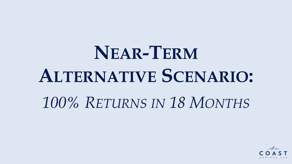# **NEAR-TERM ALTERNATIVE SCENARIO:** *100% RETURNS IN 18 MONTHS*

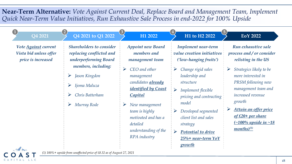**Near-Term Alternative:** *Vote Against Current Deal, Replace Board and Management Team, Implement Quick Near-Term Value Initiatives, Run Exhaustive Sale Process in end-2022 for 100% Upside*

| Q4 2021                                                              | (2)<br>Q4 2021 to Q1 2022                                                                                         | H1 2022                                                                                                                   | H1 to H2 2022                                                                                                                                   | $\sqrt{5}$<br>EoY 2022                                                                                                                                    |
|----------------------------------------------------------------------|-------------------------------------------------------------------------------------------------------------------|---------------------------------------------------------------------------------------------------------------------------|-------------------------------------------------------------------------------------------------------------------------------------------------|-----------------------------------------------------------------------------------------------------------------------------------------------------------|
| Vote Against current<br>Vista bid unless offer<br>price is increased | <b>Shareholders to consider</b><br>replacing conflicted and<br>underperforming Board                              | <b>Appoint new Board</b><br><i>members and</i><br>management team                                                         | Implement near-term<br>value creation initiatives<br>('low-hanging fruits')                                                                     | Run exhaustive sale<br>process and / or consider<br>relisting in the US                                                                                   |
|                                                                      | <i>members, including:</i><br>Jason Kingdon<br>➤<br>$\blacktriangleright$<br>Ijoma Maluza<br>Chris Batterham<br>➤ | $\triangleright$ CEO and other<br>management<br>candidates <b>already</b><br><i>identified by Coast</i><br><i>Capital</i> | Change rigid sales<br>➤<br>leadership and<br>structure<br>$\blacktriangleright$<br>Implement flexible<br>pricing and contracting<br>model       | Strategics likely to be<br>$\blacktriangleright$<br>more interested in<br>PRSM following new<br>management team and<br><i>increased revenue</i><br>growth |
|                                                                      | Murray Rode<br>➤                                                                                                  | New management<br>➤<br>team is highly<br>motivated and has a<br>detailed<br>understanding of the<br>RPA industry          | Developed segmented<br>➤<br>client list and sales<br>strategy<br>$\blacktriangleright$<br>Potential to drive<br>$25%$ + near-term YoY<br>growth | Attain an offer price<br>of £20+ per share<br>$( \sim 100\%$ upside in $\sim 18$<br>$months$ <sup>(1)</sup>                                               |



*(1) 100%+ upside from unaffected price of £8.32 as of August 27, 2021*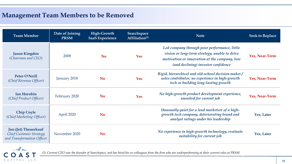## **Management Team Members to be Removed**

| <b>Team Member</b>                                                                   | Date of Joining<br><b>PRSM</b> | High-Growth<br><b>SaaS Experience</b> | <b>Searchspace</b><br>Affiliation $(1)$ | <b>Note</b>                                                                                                                                                                          | <b>Seek to Replace</b> |
|--------------------------------------------------------------------------------------|--------------------------------|---------------------------------------|-----------------------------------------|--------------------------------------------------------------------------------------------------------------------------------------------------------------------------------------|------------------------|
| <b>Jason Kingdon</b><br>(Chairman and CEO)                                           | 2008                           | N <sub>0</sub>                        | <b>Yes</b>                              | Led company through poor performance, little<br>vision or long-term strategy, unable to drive<br>motivation or innovation at the company, low<br>(and declining) investor confidence | Yes, Near-Term         |
| <b>Peter O'Neill</b><br>(Chief Revenue Officer)                                      | January 2018                   | <b>No</b>                             | <b>Yes</b>                              | Rigid, hierarchical and old-school decision maker/<br>sales contributor, no experience in high-growth<br>tech or building long-lasting growth                                        | Yes, Near-Term         |
| <b>Ian Horobin</b><br>(Chief Product Officer)                                        | February 2020                  | <b>No</b>                             | <b>Yes</b>                              | No high-growth product development experience,<br>unsuited for current job                                                                                                           | Yes, Near-Term         |
| <b>Chip Coyle</b><br>(Chief Marketing Officer)                                       | April 2020                     | <b>No</b>                             |                                         | Unusually quiet for a lead marketeer of a high-<br>growth tech company, deteriorating brand and<br>analyst ratings under his leadership                                              | Yes, Later             |
| <b>Jon (Jet) Theuerkauf</b><br>Chief Customer Strategy<br>and Transformation Officer | November 2020                  | <b>No</b>                             |                                         | No experience in high-growth technology, evaluate<br>suitability for current job                                                                                                     | Yes, Later             |



*(1) Current CEO was the founder of Searchspace, and has hired his ex-colleagues from the firm who are underperforming at their current roles at PRSM*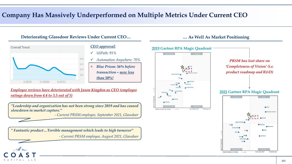## **Company Has Massively Underperformed on Multiple Metrics Under Current CEO**



#### *CEO approval:*

- ✓ *UiPath: 91%*
- ✓ *Automation Anywhere: 70%*
- × *Blue Prism: 56% before transaction – now less than 50%!*

*Employee reviews have deteriorated with Jason Kingdon as CEO (employee ratings down from 4.4 to 3.5 out of 5)*

*"Leadership and organization has not been strong since 2019 and has caused slowdown in market capture."*

*- Current PRSM employee, September 2021, Glassdoor*

*" Fantastic product…Terrible management which leads to high turnover" - Current PRSM employee, August 2021, Glassdoor*



**Deteriorating Glassdoor Reviews Under Current CEO… … As Well As Market Positioning**



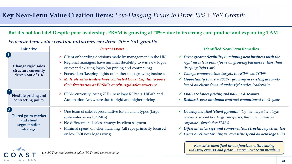#### But it's not too late! Despite poor leadership, PRSM is growing at 20%+ due to its strong core product and expanding TAM

#### *Few near-term value creation initiatives can drive 25%+ YoY growth:*

| <b>Initiative</b>                                                                   | <b>Current Issues</b>                                                                                                                                                                                                                                                                                                                                                               | <b>Identified Near-Term Remedies</b>                                                                                                                                                                                                                                                                                                                                                    |  |  |
|-------------------------------------------------------------------------------------|-------------------------------------------------------------------------------------------------------------------------------------------------------------------------------------------------------------------------------------------------------------------------------------------------------------------------------------------------------------------------------------|-----------------------------------------------------------------------------------------------------------------------------------------------------------------------------------------------------------------------------------------------------------------------------------------------------------------------------------------------------------------------------------------|--|--|
| $\mathbf 1$<br>Change rigid sales<br>structure currently<br>driven out of UK        | × Client onboarding decisions made by management in the UK<br>× Regional managers have minimal flexibility to win new logos<br>or expand existing logos (on pricing and contracting)<br>× Focused on 'keeping-lights-on' rather than growing business<br>× Multiple sales leaders have contacted Coast Capital to voice<br>their frustration at PRSM's overly-rigid sales structure | $\checkmark$ Drive greater flexibility in winning new business with the<br>right incentive plan (focus on growing business rather than<br>'keeping lights on')<br>$\checkmark$ Change compensation targets to ACV <sup>(1)</sup> vs. TCV <sup>(1)</sup><br>$\checkmark$ Opportunity to drive 200% + growing in existing accounts<br>based on client demand under right sales leadership |  |  |
| $\left( 2 \right)$<br>Flexible pricing and<br>contracting policy                    | × PRSM currently losing 70% + new logo RFPs vs. UiPath and<br>Automation Anywhere due to rigid and higher pricing                                                                                                                                                                                                                                                                   | $\checkmark$ Evaluate lower pricing and volume discounts<br>$\checkmark$ Reduce 3-year minimum contract commitment to $\leq 1$ -year                                                                                                                                                                                                                                                    |  |  |
| $\left( 3 \right)$<br>Tiered go-to-market<br>and client<br>segmentation<br>strategy | × One team of sales representative for all client types (large-<br>scale enterprises to SMEs)<br>× No differentiated sales strategy by client segment<br>× Minimal spend on 'client farming' (all reps primarily focused<br>on low ROI new logos wins)                                                                                                                              | $\checkmark$ Develop detailed 'client pyramid' (top tier: largest strategic<br>accounts, second tier: large enterprises, third tier: mid-sized<br>corporates, fourth tier: SMEs)<br>$\checkmark$ Different sales reps and compensation structure by client tier<br>$\checkmark$ Focus on client farming vs. excessive spend on new logo wins                                            |  |  |



*(1) ACV: annual contract value, TCV: total contract value*

*Remedies identified in-conjunction with leading industry experts and prior management team members*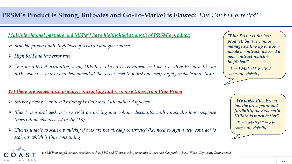## **PRSM's Product is Strong, But Sales and Go-To-Market is Flawed:** *This Can be Corrected!*

*Multiple channel partners and MSPs(1) have highlighted strength of PRSM's product:*

- ➢ *Scalable product with high level of security and governance*
- ➢ *High ROI and low error rate*

CAPITAL LLC

➢ *"For an internal accounting team, UiPath is like an Excel Spreadsheet whereas Blue Prism is like an SAP system" – end-to-end deployment at the server level (not desktop level), highly scalable and sticky*

#### *Yet there are issues with pricing, contracting and response times from Blue Prism*

- ➢ *Sticker pricing is almost 2x that of UiPath and Automation Anywhere*
- ➢ *Blue Prism deal desk is very rigid on pricing and volume discounts, with unusually long response times (all members based in the UK)*
- $\triangleright$  Clients unable to scale-up quickly if bots are not already contracted (i.e. need to sign a new contract to *scale-up which is time consuming)*

*"Blue Prism is the best product, but we cannot manage scaling up or down inside a contract, we need a new contract which is inefficient"*

*- Top 3 MSP (IT & BPO company) globally*

> *"We prefer Blue Prism but the price point and flexibility we have with UiPath is much better"*

*- Top 5 MSP (IT & BPO company) globally*

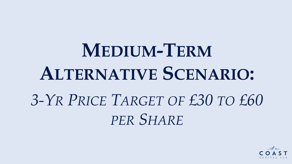# **MEDIUM-TERM ALTERNATIVE SCENARIO:** *3-YR PRICE TARGET OF £30 TO £60 PER SHARE*

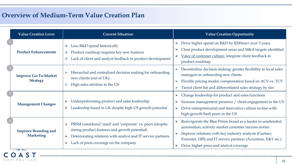## **Overview of Medium-Term Value Creation Plan**

CAPITAL LLC

| <b>Value Creation Lever</b>                     | <b>Current Situation</b>                                                                                                                                                                                                                      | <b>Value Creation Opportunity</b>                                                                                                                                                                                                                                                                                  |  |
|-------------------------------------------------|-----------------------------------------------------------------------------------------------------------------------------------------------------------------------------------------------------------------------------------------------|--------------------------------------------------------------------------------------------------------------------------------------------------------------------------------------------------------------------------------------------------------------------------------------------------------------------|--|
| <b>Product Enhancements</b>                     | Low R&D spend historically<br>Product roadmap requires key new features<br>➤<br>Lack of client and analyst feedback in product development                                                                                                    | Drive higher spend on R&D by \$200mn+ over 3 years<br>Clear product development areas and M&A targets identified<br>Voice of customer culture: integrate client feedback in<br>product roadmap                                                                                                                     |  |
| <b>Improve Go-To-Market</b><br><b>Strategy</b>  | Hierarchal and centralized decision making for onboarding<br>new clients (out of UK)<br>High sales attrition in the US                                                                                                                        | Decentralize decision making: greater flexibility to local sales<br>managers in onboarding new clients<br>Flexible pricing model, compensation based on ACV vs. TCV<br>Tiered client list and differentiated sales strategy by tier<br>$\blacktriangleright$                                                       |  |
| <b>Management Changes</b>                       | Underperforming product and sales leadership<br>➤<br>Leadership based in UK despite high US growth potential<br>➤                                                                                                                             | Change leadership for product and sales functions<br>Increase management presence / client engagement in the US<br>Drive entrepreneurial and innovative culture in-line with<br>$\blacktriangleright$<br>high-growth SaaS peers in the US                                                                          |  |
| <b>Improve Branding and</b><br><b>Marketing</b> | PRSM considered 'staid' and 'corporate' vs. peers (despite<br>strong product features and growth potential)<br>Deteriorating relations with analyst and IT service partners<br>$\blacktriangleright$<br>Lack of press coverage on the company | Reinvigorate the Blue Prism brand as a leader in unattended<br>automation; actively market customer success stories<br>Improve relations with key industry analysts (Gartner,<br>Forrester, HfS) and IT service partners (Accenture, E&Y etc.)<br>Drive higher press and analyst coverage<br>$\blacktriangleright$ |  |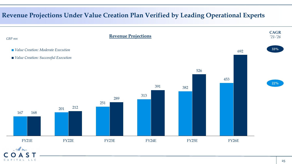## **Revenue Projections Under Value Creation Plan Verified by Leading Operational Experts**

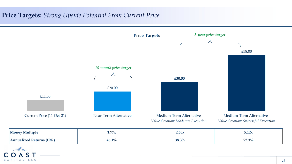## **Price Targets:** *Strong Upside Potential From Current Price*



| <b>Money Multiple</b>              | 77.<br>1.77A | 2.65x |                     |
|------------------------------------|--------------|-------|---------------------|
| $A$ nnii $2$ li $7$ e $C$<br>11/1/ | 46.1%        | 38.3% | $F \cap R$<br>2.5/0 |